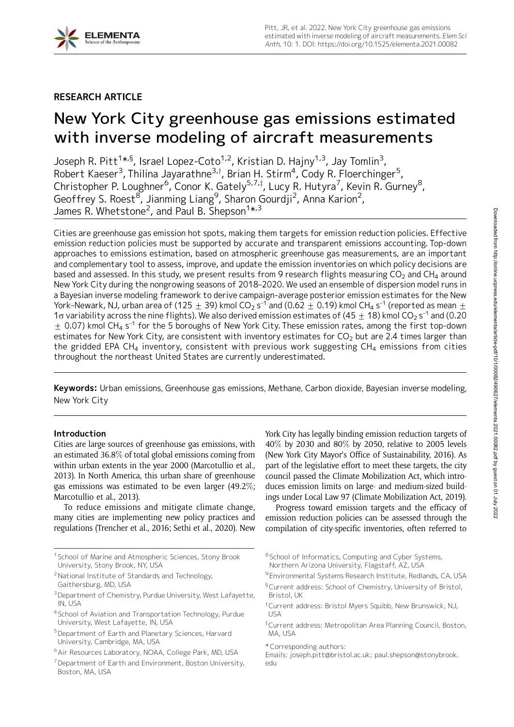

# RESEARCH ARTICLE

# New York City greenhouse gas emissions estimated with inverse modeling of aircraft measurements

Joseph R. Pitt<sup>1</sup>\*<sup>,§</sup>, Israel Lopez-Coto<sup>1,2</sup>, Kristian D. Hajny<sup>1,3</sup>, Jay Tomlin<sup>3</sup>, Robert Kaeser<sup>3</sup>, Thilina Jayarathne<sup>3,†</sup>, Brian H. Stirm<sup>4</sup>, Cody R. Floerchinger<sup>5</sup>, Christopher P. Loughner<sup>6</sup>, Conor K. Gately<sup>5,7,‡</sup>, Lucy R. Hutyra<sup>7</sup>, Kevin R. Gurney<sup>8</sup>, Geoffrey S. Roest $^8$ , Jianming Liang $^9$ , Sharon Gourdji $^2$ , Anna Karion $^2$ , James R. Whetstone<sup>2</sup>, and Paul B. Shepson $^{1\star,3}$ 

Cities are greenhouse gas emission hot spots, making them targets for emission reduction policies. Effective emission reduction policies must be supported by accurate and transparent emissions accounting. Top-down approaches to emissions estimation, based on atmospheric greenhouse gas measurements, are an important and complementary tool to assess, improve, and update the emission inventories on which policy decisions are based and assessed. In this study, we present results from 9 research flights measuring  $CO<sub>2</sub>$  and CH<sub>4</sub> around New York City during the nongrowing seasons of 2018–2020. We used an ensemble of dispersion model runs in a Bayesian inverse modeling framework to derive campaign-average posterior emission estimates for the New York–Newark, NJ, urban area of (125  $\pm$  39) kmol CO<sub>2</sub> s<sup>-1</sup> and (0.62  $\pm$  0.19) kmol CH<sub>4</sub> s<sup>-1</sup> (reported as mean  $\pm$ 1 $\sigma$  variability across the nine flights). We also derived emission estimates of (45  $\pm$  18) kmol CO<sub>2</sub> s<sup>-1</sup> and (0.20  $\pm$  0.07) kmol CH<sub>4</sub> s<sup>-1</sup> for the 5 boroughs of New York City. These emission rates, among the first top-down estimates for New York City, are consistent with inventory estimates for  $CO<sub>2</sub>$  but are 2.4 times larger than the gridded EPA CH<sub>4</sub> inventory, consistent with previous work suggesting  $CH<sub>4</sub>$  emissions from cities throughout the northeast United States are currently underestimated.

Keywords: Urban emissions, Greenhouse gas emissions, Methane, Carbon dioxide, Bayesian inverse modeling, New York City

# Introduction

Cities are large sources of greenhouse gas emissions, with an estimated 36.8% of total global emissions coming from within urban extents in the year 2000 (Marcotullio et al., 2013). In North America, this urban share of greenhouse gas emissions was estimated to be even larger (49.2%; Marcotullio et al., 2013).

To reduce emissions and mitigate climate change, many cities are implementing new policy practices and regulations (Trencher et al., 2016; Sethi et al., 2020). New

- <sup>4</sup> School of Aviation and Transportation Technology, Purdue University, West Lafayette, IN, USA
- 5Department of Earth and Planetary Sciences, Harvard University, Cambridge, MA, USA

York City has legally binding emission reduction targets of 40% by 2030 and 80% by 2050, relative to 2005 levels (New York City Mayor's Office of Sustainability, 2016). As part of the legislative effort to meet these targets, the city council passed the Climate Mobilization Act, which introduces emission limits on large- and medium-sized buildings under Local Law 97 (Climate Mobilization Act, 2019).

Progress toward emission targets and the efficacy of emission reduction policies can be assessed through the compilation of city-specific inventories, often referred to

- <sup>8</sup> School of Informatics, Computing and Cyber Systems, Northern Arizona University, Flagstaff, AZ, USA
- <sup>9</sup> Environmental Systems Research Institute, Redlands, CA, USA
- §Current address: School of Chemistry, University of Bristol, Bristol, UK
- <sup>†</sup>Current address: Bristol Myers Squibb, New Brunswick, NJ, USA
- ${}^{\ddagger}$ Current address: Metropolitan Area Planning Council, Boston, MA, USA
- \* Corresponding authors:

Emails: joseph.pitt@bristol.ac.uk; paul.shepson@stonybrook. edu

<sup>&</sup>lt;sup>1</sup> School of Marine and Atmospheric Sciences, Stony Brook University, Stony Brook, NY, USA

<sup>&</sup>lt;sup>2</sup>National Institute of Standards and Technology, Gaithersburg, MD, USA

<sup>&</sup>lt;sup>3</sup> Department of Chemistry, Purdue University, West Lafayette, IN, USA

<sup>&</sup>lt;sup>6</sup> Air Resources Laboratory, NOAA, College Park, MD, USA

<sup>&</sup>lt;sup>7</sup>Department of Earth and Environment, Boston University, Boston, MA, USA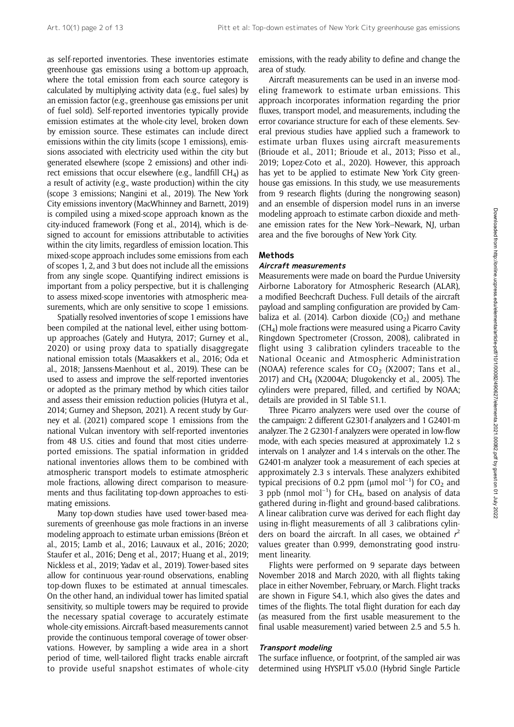as self-reported inventories. These inventories estimate greenhouse gas emissions using a bottom-up approach, where the total emission from each source category is calculated by multiplying activity data (e.g., fuel sales) by an emission factor (e.g., greenhouse gas emissions per unit of fuel sold). Self-reported inventories typically provide emission estimates at the whole-city level, broken down by emission source. These estimates can include direct emissions within the city limits (scope 1 emissions), emissions associated with electricity used within the city but generated elsewhere (scope 2 emissions) and other indirect emissions that occur elsewhere (e.g., landfill  $CH<sub>4</sub>$ ) as a result of activity (e.g., waste production) within the city (scope 3 emissions; Nangini et al., 2019). The New York City emissions inventory (MacWhinney and Barnett, 2019) is compiled using a mixed-scope approach known as the city-induced framework (Fong et al., 2014), which is designed to account for emissions attributable to activities within the city limits, regardless of emission location. This mixed-scope approach includes some emissions from each of scopes 1, 2, and 3 but does not include all the emissions from any single scope. Quantifying indirect emissions is important from a policy perspective, but it is challenging to assess mixed-scope inventories with atmospheric measurements, which are only sensitive to scope 1 emissions.

Spatially resolved inventories of scope 1 emissions have been compiled at the national level, either using bottomup approaches (Gately and Hutyra, 2017; Gurney et al., 2020) or using proxy data to spatially disaggregate national emission totals (Maasakkers et al., 2016; Oda et al., 2018; Janssens-Maenhout et al., 2019). These can be used to assess and improve the self-reported inventories or adopted as the primary method by which cities tailor and assess their emission reduction policies (Hutyra et al., 2014; Gurney and Shepson, 2021). A recent study by Gurney et al. (2021) compared scope 1 emissions from the national Vulcan inventory with self-reported inventories from 48 U.S. cities and found that most cities underreported emissions. The spatial information in gridded national inventories allows them to be combined with atmospheric transport models to estimate atmospheric mole fractions, allowing direct comparison to measurements and thus facilitating top-down approaches to estimating emissions.

Many top-down studies have used tower-based measurements of greenhouse gas mole fractions in an inverse modeling approach to estimate urban emissions (Bréon et al., 2015; Lamb et al., 2016; Lauvaux et al., 2016; 2020; Staufer et al., 2016; Deng et al., 2017; Huang et al., 2019; Nickless et al., 2019; Yadav et al., 2019). Tower-based sites allow for continuous year-round observations, enabling top-down fluxes to be estimated at annual timescales. On the other hand, an individual tower has limited spatial sensitivity, so multiple towers may be required to provide the necessary spatial coverage to accurately estimate whole-city emissions. Aircraft-based measurements cannot provide the continuous temporal coverage of tower observations. However, by sampling a wide area in a short period of time, well-tailored flight tracks enable aircraft to provide useful snapshot estimates of whole-city

emissions, with the ready ability to define and change the area of study.

Aircraft measurements can be used in an inverse modeling framework to estimate urban emissions. This approach incorporates information regarding the prior fluxes, transport model, and measurements, including the error covariance structure for each of these elements. Several previous studies have applied such a framework to estimate urban fluxes using aircraft measurements (Brioude et al., 2011; Brioude et al., 2013; Pisso et al., 2019; Lopez-Coto et al., 2020). However, this approach has yet to be applied to estimate New York City greenhouse gas emissions. In this study, we use measurements from 9 research flights (during the nongrowing season) and an ensemble of dispersion model runs in an inverse modeling approach to estimate carbon dioxide and methane emission rates for the New York–Newark, NJ, urban area and the five boroughs of New York City.

#### Methods

#### Aircraft measurements

Measurements were made on board the Purdue University Airborne Laboratory for Atmospheric Research (ALAR), a modified Beechcraft Duchess. Full details of the aircraft payload and sampling configuration are provided by Cambaliza et al. (2014). Carbon dioxide  $(CO<sub>2</sub>)$  and methane (CH4) mole fractions were measured using a Picarro Cavity Ringdown Spectrometer (Crosson, 2008), calibrated in flight using 3 calibration cylinders traceable to the National Oceanic and Atmospheric Administration (NOAA) reference scales for  $CO<sub>2</sub>$  (X2007; Tans et al., 2017) and CH<sub>4</sub> (X2004A; Dlugokencky et al., 2005). The cylinders were prepared, filled, and certified by NOAA; details are provided in SI Table S1.1.

Three Picarro analyzers were used over the course of the campaign: 2 different G2301-f analyzers and 1 G2401-m analyzer. The 2 G2301-f analyzers were operated in low-flow mode, with each species measured at approximately 1.2 s intervals on 1 analyzer and 1.4 s intervals on the other. The G2401-m analyzer took a measurement of each species at approximately 2.3 s intervals. These analyzers exhibited typical precisions of 0.2 ppm ( $\mu$ mol mol<sup>-1</sup>) for CO<sub>2</sub> and 3 ppb (nmol mol<sup>-1</sup>) for CH<sub>4</sub>, based on analysis of data gathered during in-flight and ground-based calibrations. A linear calibration curve was derived for each flight day using in-flight measurements of all 3 calibrations cylinders on board the aircraft. In all cases, we obtained  $r^2$ values greater than 0.999, demonstrating good instrument linearity.

Flights were performed on 9 separate days between November 2018 and March 2020, with all flights taking place in either November, February, or March. Flight tracks are shown in Figure S4.1, which also gives the dates and times of the flights. The total flight duration for each day (as measured from the first usable measurement to the final usable measurement) varied between 2.5 and 5.5 h.

#### Transport modeling

The surface influence, or footprint, of the sampled air was determined using HYSPLIT v5.0.0 (Hybrid Single Particle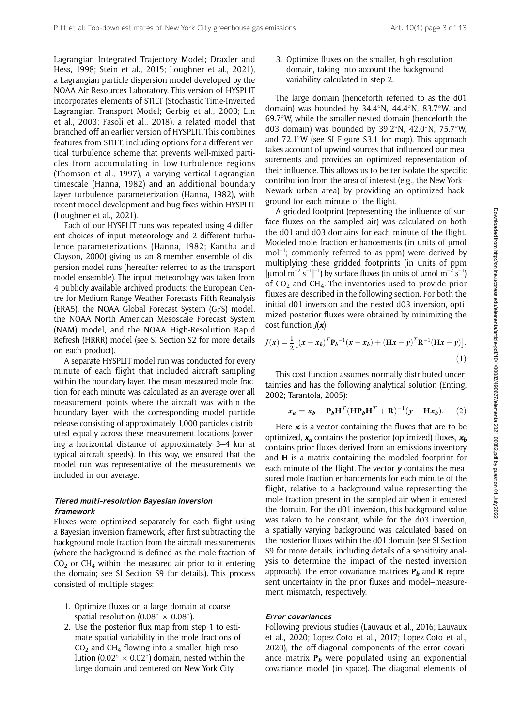Lagrangian Integrated Trajectory Model; Draxler and Hess, 1998; Stein et al., 2015; Loughner et al., 2021), a Lagrangian particle dispersion model developed by the NOAA Air Resources Laboratory. This version of HYSPLIT incorporates elements of STILT (Stochastic Time-Inverted Lagrangian Transport Model; Gerbig et al., 2003; Lin et al., 2003; Fasoli et al., 2018), a related model that branched off an earlier version of HYSPLIT. This combines features from STILT, including options for a different vertical turbulence scheme that prevents well-mixed particles from accumulating in low-turbulence regions (Thomson et al., 1997), a varying vertical Lagrangian timescale (Hanna, 1982) and an additional boundary layer turbulence parameterization (Hanna, 1982), with recent model development and bug fixes within HYSPLIT (Loughner et al., 2021).

Each of our HYSPLIT runs was repeated using 4 different choices of input meteorology and 2 different turbulence parameterizations (Hanna, 1982; Kantha and Clayson, 2000) giving us an 8-member ensemble of dispersion model runs (hereafter referred to as the transport model ensemble). The input meteorology was taken from 4 publicly available archived products: the European Centre for Medium Range Weather Forecasts Fifth Reanalysis (ERA5), the NOAA Global Forecast System (GFS) model, the NOAA North American Mesoscale Forecast System (NAM) model, and the NOAA High-Resolution Rapid Refresh (HRRR) model (see SI Section S2 for more details on each product).

A separate HYSPLIT model run was conducted for every minute of each flight that included aircraft sampling within the boundary layer. The mean measured mole fraction for each minute was calculated as an average over all measurement points where the aircraft was within the boundary layer, with the corresponding model particle release consisting of approximately 1,000 particles distributed equally across these measurement locations (covering a horizontal distance of approximately 3–4 km at typical aircraft speeds). In this way, we ensured that the model run was representative of the measurements we included in our average.

#### Tiered multi-resolution Bayesian inversion framework

Fluxes were optimized separately for each flight using a Bayesian inversion framework, after first subtracting the background mole fraction from the aircraft measurements (where the background is defined as the mole fraction of  $CO<sub>2</sub>$  or CH<sub>4</sub> within the measured air prior to it entering the domain; see SI Section S9 for details). This process consisted of multiple stages:

- 1. Optimize fluxes on a large domain at coarse spatial resolution (0.08°  $\times$  0.08°).
- 2. Use the posterior flux map from step 1 to estimate spatial variability in the mole fractions of  $CO<sub>2</sub>$  and CH<sub>4</sub> flowing into a smaller, high resolution (0.02 $\degree$  × 0.02 $\degree$ ) domain, nested within the large domain and centered on New York City.

3. Optimize fluxes on the smaller, high-resolution domain, taking into account the background variability calculated in step 2.

The large domain (henceforth referred to as the d01 domain) was bounded by  $34.4^\circ$ N,  $44.4^\circ$ N,  $83.7^\circ$ W, and 69.7°W, while the smaller nested domain (henceforth the d03 domain) was bounded by 39.2°N, 42.0°N, 75.7°W, and 72.1°W (see SI Figure S3.1 for map). This approach takes account of upwind sources that influenced our measurements and provides an optimized representation of their influence. This allows us to better isolate the specific contribution from the area of interest (e.g., the New York– Newark urban area) by providing an optimized background for each minute of the flight.

A gridded footprint (representing the influence of surface fluxes on the sampled air) was calculated on both the d01 and d03 domains for each minute of the flight. Modeled mole fraction enhancements (in units of umol  $mol^{-1}$ ; commonly referred to as ppm) were derived by multiplying these gridded footprints (in units of ppm [µmol m<sup>-2</sup> s<sup>-1</sup>]<sup>-1</sup>) by surface fluxes (in units of µmol m<sup>-2</sup> s<sup>-1</sup>) of  $CO<sub>2</sub>$  and CH<sub>4</sub>. The inventories used to provide prior fluxes are described in the following section. For both the initial d01 inversion and the nested d03 inversion, optimized posterior fluxes were obtained by minimizing the cost function  $J(x)$ :

$$
J(\mathbf{x}) = \frac{1}{2} \left[ (\mathbf{x} - \mathbf{x}_b)^T \mathbf{P}_b^{-1} (\mathbf{x} - \mathbf{x}_b) + (\mathbf{H}\mathbf{x} - \mathbf{y})^T \mathbf{R}^{-1} (\mathbf{H}\mathbf{x} - \mathbf{y}) \right].
$$
\n(1)

This cost function assumes normally distributed uncertainties and has the following analytical solution (Enting, 2002; Tarantola, 2005):

$$
x_a = x_b + \mathbf{P}_b \mathbf{H}^T (\mathbf{H} \mathbf{P}_b \mathbf{H}^T + \mathbf{R})^{-1} (\mathbf{y} - \mathbf{H} \mathbf{x}_b).
$$
 (2)

Here  $x$  is a vector containing the fluxes that are to be optimized,  $x_a$  contains the posterior (optimized) fluxes,  $x_b$ contains prior fluxes derived from an emissions inventory and H is a matrix containing the modeled footprint for each minute of the flight. The vector  $y$  contains the measured mole fraction enhancements for each minute of the flight, relative to a background value representing the mole fraction present in the sampled air when it entered the domain. For the d01 inversion, this background value was taken to be constant, while for the d03 inversion, a spatially varying background was calculated based on the posterior fluxes within the d01 domain (see SI Section S9 for more details, including details of a sensitivity analysis to determine the impact of the nested inversion approach). The error covariance matrices  $P_b$  and R represent uncertainty in the prior fluxes and model–measurement mismatch, respectively.

# Error covariances

Following previous studies (Lauvaux et al., 2016; Lauvaux et al., 2020; Lopez-Coto et al., 2017; Lopez-Coto et al., 2020), the off-diagonal components of the error covariance matrix  $P_b$  were populated using an exponential covariance model (in space). The diagonal elements of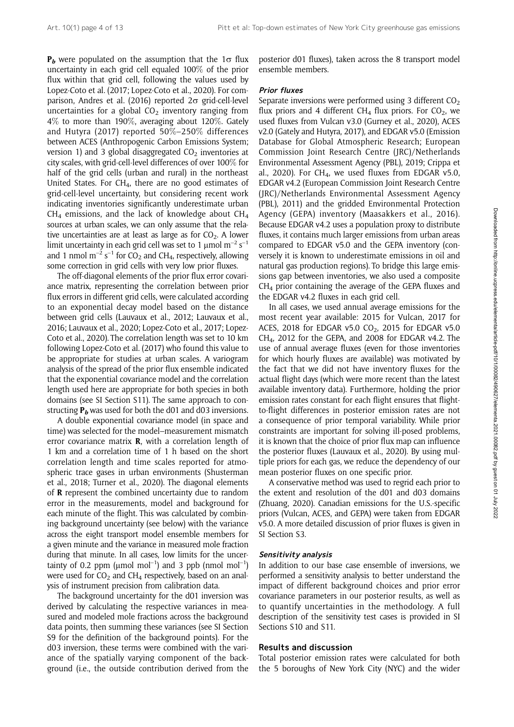$P_b$  were populated on the assumption that the 1 $\sigma$  flux uncertainty in each grid cell equaled 100% of the prior flux within that grid cell, following the values used by Lopez-Coto et al. (2017; Lopez-Coto et al., 2020). For comparison, Andres et al. (2016) reported  $2\sigma$  grid-cell-level uncertainties for a global  $CO<sub>2</sub>$  inventory ranging from 4% to more than 190%, averaging about 120%. Gately and Hutyra (2017) reported 50%–250% differences between ACES (Anthropogenic Carbon Emissions System; version 1) and 3 global disaggregated  $CO<sub>2</sub>$  inventories at city scales, with grid-cell-level differences of over 100% for half of the grid cells (urban and rural) in the northeast United States. For CH<sub>4</sub>, there are no good estimates of grid-cell-level uncertainty, but considering recent work indicating inventories significantly underestimate urban  $CH<sub>4</sub>$  emissions, and the lack of knowledge about  $CH<sub>4</sub>$ sources at urban scales, we can only assume that the relative uncertainties are at least as large as for  $CO<sub>2</sub>$ . A lower limit uncertainty in each grid cell was set to 1  $\mu$ mol m<sup>-2</sup> s<sup>-1</sup> and 1 nmol  $m^{-2}$  s<sup>-1</sup> for CO<sub>2</sub> and CH<sub>4</sub>, respectively, allowing some correction in grid cells with very low prior fluxes.

The off-diagonal elements of the prior flux error covariance matrix, representing the correlation between prior flux errors in different grid cells, were calculated according to an exponential decay model based on the distance between grid cells (Lauvaux et al., 2012; Lauvaux et al., 2016; Lauvaux et al., 2020; Lopez-Coto et al., 2017; Lopez-Coto et al., 2020). The correlation length was set to 10 km following Lopez-Coto et al. (2017) who found this value to be appropriate for studies at urban scales. A variogram analysis of the spread of the prior flux ensemble indicated that the exponential covariance model and the correlation length used here are appropriate for both species in both domains (see SI Section S11). The same approach to constructing  $P_b$  was used for both the d01 and d03 inversions.

A double exponential covariance model (in space and time) was selected for the model–measurement mismatch error covariance matrix R, with a correlation length of 1 km and a correlation time of 1 h based on the short correlation length and time scales reported for atmospheric trace gases in urban environments (Shusterman et al., 2018; Turner et al., 2020). The diagonal elements of R represent the combined uncertainty due to random error in the measurements, model and background for each minute of the flight. This was calculated by combining background uncertainty (see below) with the variance across the eight transport model ensemble members for a given minute and the variance in measured mole fraction during that minute. In all cases, low limits for the uncertainty of 0.2 ppm ( $\mu$ mol mol<sup>-1</sup>) and 3 ppb (nmol mol<sup>-1</sup>) were used for  $CO<sub>2</sub>$  and  $CH<sub>4</sub>$  respectively, based on an analysis of instrument precision from calibration data.

The background uncertainty for the d01 inversion was derived by calculating the respective variances in measured and modeled mole fractions across the background data points, then summing these variances (see SI Section S9 for the definition of the background points). For the d03 inversion, these terms were combined with the variance of the spatially varying component of the background (i.e., the outside contribution derived from the

posterior d01 fluxes), taken across the 8 transport model ensemble members.

# Prior fluxes

Separate inversions were performed using 3 different  $CO<sub>2</sub>$ flux priors and 4 different CH<sub>4</sub> flux priors. For CO<sub>2</sub>, we used fluxes from Vulcan v3.0 (Gurney et al., 2020), ACES v2.0 (Gately and Hutyra, 2017), and EDGAR v5.0 (Emission Database for Global Atmospheric Research; European Commission Joint Research Centre (JRC)/Netherlands Environmental Assessment Agency (PBL), 2019; Crippa et al., 2020). For CH<sub>4</sub>, we used fluxes from EDGAR v5.0, EDGAR v4.2 (European Commission Joint Research Centre (JRC)/Netherlands Environmental Assessment Agency (PBL), 2011) and the gridded Environmental Protection Agency (GEPA) inventory (Maasakkers et al., 2016). Because EDGAR v4.2 uses a population proxy to distribute fluxes, it contains much larger emissions from urban areas compared to EDGAR v5.0 and the GEPA inventory (conversely it is known to underestimate emissions in oil and natural gas production regions). To bridge this large emissions gap between inventories, we also used a composite CH4 prior containing the average of the GEPA fluxes and the EDGAR v4.2 fluxes in each grid cell.

In all cases, we used annual average emissions for the most recent year available: 2015 for Vulcan, 2017 for ACES, 2018 for EDGAR v5.0 CO<sub>2</sub>, 2015 for EDGAR v5.0  $CH<sub>4</sub>$ , 2012 for the GEPA, and 2008 for EDGAR v4.2. The use of annual average fluxes (even for those inventories for which hourly fluxes are available) was motivated by the fact that we did not have inventory fluxes for the actual flight days (which were more recent than the latest available inventory data). Furthermore, holding the prior emission rates constant for each flight ensures that flightto-flight differences in posterior emission rates are not a consequence of prior temporal variability. While prior constraints are important for solving ill-posed problems, it is known that the choice of prior flux map can influence the posterior fluxes (Lauvaux et al., 2020). By using multiple priors for each gas, we reduce the dependency of our mean posterior fluxes on one specific prior.

A conservative method was used to regrid each prior to the extent and resolution of the d01 and d03 domains (Zhuang, 2020). Canadian emissions for the U.S.-specific priors (Vulcan, ACES, and GEPA) were taken from EDGAR v5.0. A more detailed discussion of prior fluxes is given in SI Section S3.

#### Sensitivity analysis

In addition to our base case ensemble of inversions, we performed a sensitivity analysis to better understand the impact of different background choices and prior error covariance parameters in our posterior results, as well as to quantify uncertainties in the methodology. A full description of the sensitivity test cases is provided in SI Sections S10 and S11.

# Results and discussion

Total posterior emission rates were calculated for both the 5 boroughs of New York City (NYC) and the wider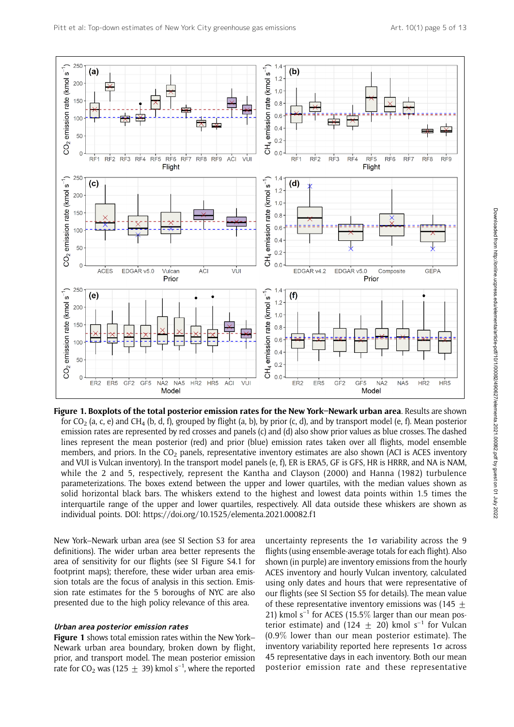

Figure 1. Boxplots of the total posterior emission rates for the New York–Newark urban area. Results are shown for CO<sub>2</sub> (a, c, e) and CH<sub>4</sub> (b, d, f), grouped by flight (a, b), by prior (c, d), and by transport model (e, f). Mean posterior emission rates are represented by red crosses and panels (c) and (d) also show prior values as blue crosses. The dashed lines represent the mean posterior (red) and prior (blue) emission rates taken over all flights, model ensemble members, and priors. In the  $CO<sub>2</sub>$  panels, representative inventory estimates are also shown (ACI is ACES inventory and VUI is Vulcan inventory). In the transport model panels (e, f), ER is ERA5, GF is GFS, HR is HRRR, and NA is NAM, while the 2 and 5, respectively, represent the Kantha and Clayson (2000) and Hanna (1982) turbulence parameterizations. The boxes extend between the upper and lower quartiles, with the median values shown as solid horizontal black bars. The whiskers extend to the highest and lowest data points within 1.5 times the interquartile range of the upper and lower quartiles, respectively. All data outside these whiskers are shown as individual points. DOI: https://doi.org/10.1525/elementa.2021.00082.f1

New York–Newark urban area (see SI Section S3 for area definitions). The wider urban area better represents the area of sensitivity for our flights (see SI Figure S4.1 for footprint maps); therefore, these wider urban area emission totals are the focus of analysis in this section. Emission rate estimates for the 5 boroughs of NYC are also presented due to the high policy relevance of this area.

#### Urban area posterior emission rates

Figure 1 shows total emission rates within the New York– Newark urban area boundary, broken down by flight, prior, and transport model. The mean posterior emission rate for CO<sub>2</sub> was (125  $\pm$  39) kmol s<sup>-1</sup>, where the reported

uncertainty represents the  $1\sigma$  variability across the 9 flights (using ensemble-average totals for each flight). Also shown (in purple) are inventory emissions from the hourly ACES inventory and hourly Vulcan inventory, calculated using only dates and hours that were representative of our flights (see SI Section S5 for details). The mean value of these representative inventory emissions was  $(145 +$ 21) kmol  $s^{-1}$  for ACES (15.5% larger than our mean posterior estimate) and (124 + 20) kmol  $s^{-1}$  for Vulcan (0.9% lower than our mean posterior estimate). The inventory variability reported here represents  $1\sigma$  across 45 representative days in each inventory. Both our mean posterior emission rate and these representative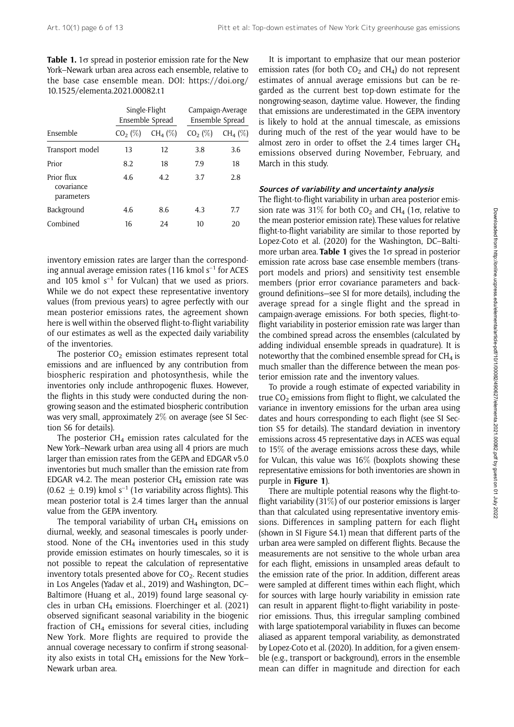| <b>Table 1.</b> 1 $\sigma$ spread in posterior emission rate for the New |
|--------------------------------------------------------------------------|
| York–Newark urban area across each ensemble, relative to                 |
| the base case ensemble mean. DOI: https://doi.org/                       |
| 10.1525/elementa.2021.00082.t1                                           |

| Ensemble                               | Single-Flight<br>Ensemble Spread |            | Campaign-Average<br>Ensemble Spread |            |
|----------------------------------------|----------------------------------|------------|-------------------------------------|------------|
|                                        | $CO2$ (%)                        | $CH_4(\%)$ | $CO2$ (%)                           | $CH_4 (%)$ |
| Transport model                        | 13                               | 12         | 3.8                                 | 3.6        |
| Prior                                  | 8.2                              | 18         | 7.9                                 | 18         |
| Prior flux<br>covariance<br>parameters | 4.6                              | 4.2        | 3.7                                 | 2.8        |
| Background                             | 4.6                              | 8.6        | 4.3                                 | 7.7        |
| Combined                               | 16                               | 24         | 10                                  | 20         |

inventory emission rates are larger than the corresponding annual average emission rates (116 kmol  $s^{-1}$  for ACES and 105 kmol  $s^{-1}$  for Vulcan) that we used as priors. While we do not expect these representative inventory values (from previous years) to agree perfectly with our mean posterior emissions rates, the agreement shown here is well within the observed flight-to-flight variability of our estimates as well as the expected daily variability of the inventories.

The posterior  $CO<sub>2</sub>$  emission estimates represent total emissions and are influenced by any contribution from biospheric respiration and photosynthesis, while the inventories only include anthropogenic fluxes. However, the flights in this study were conducted during the nongrowing season and the estimated biospheric contribution was very small, approximately 2% on average (see SI Section S6 for details).

The posterior  $CH_4$  emission rates calculated for the New York–Newark urban area using all 4 priors are much larger than emission rates from the GEPA and EDGAR v5.0 inventories but much smaller than the emission rate from EDGAR v4.2. The mean posterior  $CH<sub>4</sub>$  emission rate was  $(0.62 \pm 0.19)$  kmol s<sup>-1</sup> (1 $\sigma$  variability across flights). This mean posterior total is 2.4 times larger than the annual value from the GEPA inventory.

The temporal variability of urban  $CH<sub>4</sub>$  emissions on diurnal, weekly, and seasonal timescales is poorly understood. None of the  $CH<sub>4</sub>$  inventories used in this study provide emission estimates on hourly timescales, so it is not possible to repeat the calculation of representative inventory totals presented above for  $CO<sub>2</sub>$ . Recent studies in Los Angeles (Yadav et al., 2019) and Washington, DC– Baltimore (Huang et al., 2019) found large seasonal cycles in urban  $CH<sub>4</sub>$  emissions. Floerchinger et al. (2021) observed significant seasonal variability in the biogenic fraction of  $CH<sub>4</sub>$  emissions for several cities, including New York. More flights are required to provide the annual coverage necessary to confirm if strong seasonality also exists in total  $CH_4$  emissions for the New York– Newark urban area.

It is important to emphasize that our mean posterior emission rates (for both  $CO<sub>2</sub>$  and  $CH<sub>4</sub>$ ) do not represent estimates of annual average emissions but can be regarded as the current best top-down estimate for the nongrowing-season, daytime value. However, the finding that emissions are underestimated in the GEPA inventory is likely to hold at the annual timescale, as emissions during much of the rest of the year would have to be almost zero in order to offset the 2.4 times larger  $CH<sub>4</sub>$ emissions observed during November, February, and March in this study.

#### Sources of variability and uncertainty analysis

The flight-to-flight variability in urban area posterior emission rate was 31% for both  $CO_2$  and  $CH_4$  (1 $\sigma$ , relative to the mean posterior emission rate). These values for relative flight-to-flight variability are similar to those reported by Lopez-Coto et al. (2020) for the Washington, DC–Baltimore urban area. Table 1 gives the  $1\sigma$  spread in posterior emission rate across base case ensemble members (transport models and priors) and sensitivity test ensemble members (prior error covariance parameters and background definitions—see SI for more details), including the average spread for a single flight and the spread in campaign-average emissions. For both species, flight-toflight variability in posterior emission rate was larger than the combined spread across the ensembles (calculated by adding individual ensemble spreads in quadrature). It is noteworthy that the combined ensemble spread for  $CH<sub>4</sub>$  is much smaller than the difference between the mean posterior emission rate and the inventory values.

To provide a rough estimate of expected variability in true  $CO<sub>2</sub>$  emissions from flight to flight, we calculated the variance in inventory emissions for the urban area using dates and hours corresponding to each flight (see SI Section S5 for details). The standard deviation in inventory emissions across 45 representative days in ACES was equal to 15% of the average emissions across these days, while for Vulcan, this value was 16% (boxplots showing these representative emissions for both inventories are shown in purple in Figure 1).

There are multiple potential reasons why the flight-toflight variability (31%) of our posterior emissions is larger than that calculated using representative inventory emissions. Differences in sampling pattern for each flight (shown in SI Figure S4.1) mean that different parts of the urban area were sampled on different flights. Because the measurements are not sensitive to the whole urban area for each flight, emissions in unsampled areas default to the emission rate of the prior. In addition, different areas were sampled at different times within each flight, which for sources with large hourly variability in emission rate can result in apparent flight-to-flight variability in posterior emissions. Thus, this irregular sampling combined with large spatiotemporal variability in fluxes can become aliased as apparent temporal variability, as demonstrated by Lopez-Coto et al. (2020). In addition, for a given ensemble (e.g., transport or background), errors in the ensemble mean can differ in magnitude and direction for each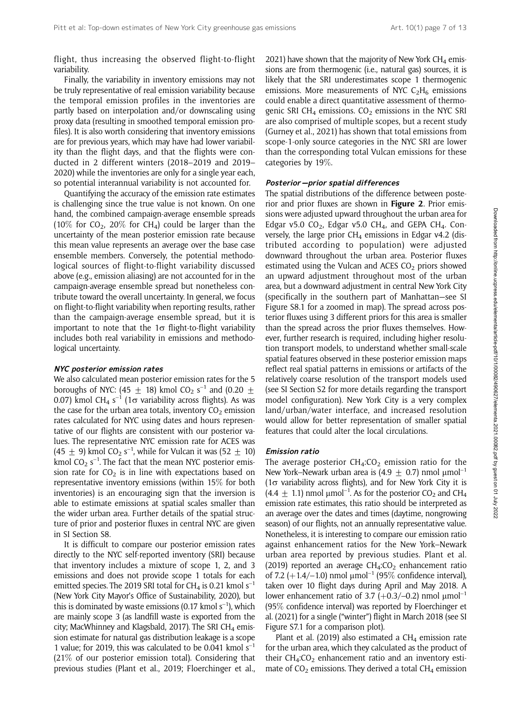flight, thus increasing the observed flight-to-flight variability.

Finally, the variability in inventory emissions may not be truly representative of real emission variability because the temporal emission profiles in the inventories are partly based on interpolation and/or downscaling using proxy data (resulting in smoothed temporal emission profiles). It is also worth considering that inventory emissions are for previous years, which may have had lower variability than the flight days, and that the flights were conducted in 2 different winters (2018–2019 and 2019– 2020) while the inventories are only for a single year each, so potential interannual variability is not accounted for.

Quantifying the accuracy of the emission rate estimates is challenging since the true value is not known. On one hand, the combined campaign-average ensemble spreads (10% for  $CO<sub>2</sub>$ , 20% for CH<sub>4</sub>) could be larger than the uncertainty of the mean posterior emission rate because this mean value represents an average over the base case ensemble members. Conversely, the potential methodological sources of flight-to-flight variability discussed above (e.g., emission aliasing) are not accounted for in the campaign-average ensemble spread but nonetheless contribute toward the overall uncertainty. In general, we focus on flight-to-flight variability when reporting results, rather than the campaign-average ensemble spread, but it is important to note that the  $1\sigma$  flight-to-flight variability includes both real variability in emissions and methodological uncertainty.

#### NYC posterior emission rates

We also calculated mean posterior emission rates for the 5 boroughs of NYC: (45  $\pm$  18) kmol CO<sub>2</sub> s<sup>-1</sup> and (0.20  $\pm$ 0.07) kmol CH<sub>4</sub> s<sup>-1</sup> (1 $\sigma$  variability across flights). As was the case for the urban area totals, inventory  $CO<sub>2</sub>$  emission rates calculated for NYC using dates and hours representative of our flights are consistent with our posterior values. The representative NYC emission rate for ACES was (45  $\pm$  9) kmol CO<sub>2</sub> s<sup>-1</sup>, while for Vulcan it was (52  $\pm$  10) kmol  $CO_2$  s<sup>-1</sup>. The fact that the mean NYC posterior emission rate for  $CO<sub>2</sub>$  is in line with expectations based on representative inventory emissions (within 15% for both inventories) is an encouraging sign that the inversion is able to estimate emissions at spatial scales smaller than the wider urban area. Further details of the spatial structure of prior and posterior fluxes in central NYC are given in SI Section S8.

It is difficult to compare our posterior emission rates directly to the NYC self-reported inventory (SRI) because that inventory includes a mixture of scope 1, 2, and 3 emissions and does not provide scope 1 totals for each emitted species. The 2019 SRI total for CH<sub>4</sub> is 0.21 kmol  $s^{-1}$ (New York City Mayor's Office of Sustainability, 2020), but this is dominated by waste emissions (0.17 kmol  $s^{-1}$ ), which are mainly scope 3 (as landfill waste is exported from the city; MacWhinney and Klagsbald, 2017). The SRI CH<sub>4</sub> emission estimate for natural gas distribution leakage is a scope 1 value; for 2019, this was calculated to be 0.041 kmol  $s^{-1}$ (21% of our posterior emission total). Considering that previous studies (Plant et al., 2019; Floerchinger et al.,

2021) have shown that the majority of New York  $CH<sub>4</sub>$  emissions are from thermogenic (i.e., natural gas) sources, it is likely that the SRI underestimates scope 1 thermogenic emissions. More measurements of NYC  $C_2H_6$  emissions could enable a direct quantitative assessment of thermogenic SRI CH<sub>4</sub> emissions. CO<sub>2</sub> emissions in the NYC SRI are also comprised of multiple scopes, but a recent study (Gurney et al., 2021) has shown that total emissions from scope-1-only source categories in the NYC SRI are lower than the corresponding total Vulcan emissions for these categories by 19%.

#### Posterior-prior spatial differences

The spatial distributions of the difference between posterior and prior fluxes are shown in **Figure 2**. Prior emissions were adjusted upward throughout the urban area for Edgar v5.0 CO<sub>2</sub>, Edgar v5.0 CH<sub>4</sub>, and GEPA CH<sub>4</sub>. Conversely, the large prior  $CH<sub>4</sub>$  emissions in Edgar v4.2 (distributed according to population) were adjusted downward throughout the urban area. Posterior fluxes estimated using the Vulcan and ACES  $CO<sub>2</sub>$  priors showed an upward adjustment throughout most of the urban area, but a downward adjustment in central New York City (specifically in the southern part of Manhattan—see SI Figure S8.1 for a zoomed in map). The spread across posterior fluxes using 3 different priors for this area is smaller than the spread across the prior fluxes themselves. However, further research is required, including higher resolution transport models, to understand whether small-scale spatial features observed in these posterior emission maps reflect real spatial patterns in emissions or artifacts of the relatively coarse resolution of the transport models used (see SI Section S2 for more details regarding the transport model configuration). New York City is a very complex land/urban/water interface, and increased resolution would allow for better representation of smaller spatial features that could alter the local circulations.

#### Emission ratio

The average posterior  $CH<sub>4</sub>:CO<sub>2</sub>$  emission ratio for the New York–Newark urban area is  $(4.9 + 0.7)$  nmol  $\mu$ mol<sup>-1</sup>  $(1\sigma$  variability across flights), and for New York City it is  $(4.4 \pm 1.1)$  nmol µmol<sup>-1</sup>. As for the posterior CO<sub>2</sub> and CH<sub>4</sub> emission rate estimates, this ratio should be interpreted as an average over the dates and times (daytime, nongrowing season) of our flights, not an annually representative value. Nonetheless, it is interesting to compare our emission ratio against enhancement ratios for the New York–Newark urban area reported by previous studies. Plant et al. (2019) reported an average  $CH_4:CO_2$  enhancement ratio of 7.2 (+1.4/–1.0) nmol  $\mu$ mol<sup>-1</sup> (95% confidence interval), taken over 10 flight days during April and May 2018. A lower enhancement ratio of 3.7 ( $+0.3/-0.2$ ) nmol  $\mu$ mol<sup>-1</sup> (95% confidence interval) was reported by Floerchinger et al. (2021) for a single ("winter") flight in March 2018 (see SI Figure S7.1 for a comparison plot).

Plant et al. (2019) also estimated a  $CH<sub>4</sub>$  emission rate for the urban area, which they calculated as the product of their  $CH_4:CO_2$  enhancement ratio and an inventory estimate of  $CO<sub>2</sub>$  emissions. They derived a total CH<sub>4</sub> emission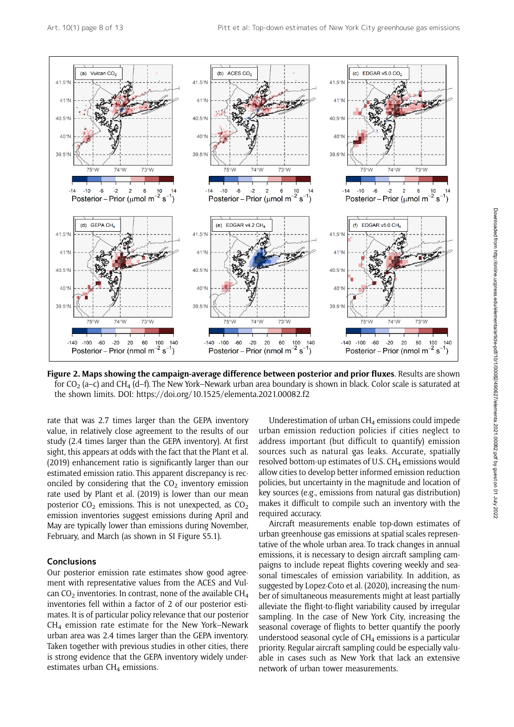

Figure 2. Maps showing the campaign-average difference between posterior and prior fluxes. Results are shown for  $CO_2$  (a–c) and CH<sub>4</sub> (d–f). The New York–Newark urban area boundary is shown in black. Color scale is saturated at the shown limits. DOI: https://doi.org/10.1525/elementa.2021.00082.f2

rate that was 2.7 times larger than the GEPA inventory value, in relatively close agreement to the results of our study (2.4 times larger than the GEPA inventory). At first sight, this appears at odds with the fact that the Plant et al. (2019) enhancement ratio is significantly larger than our estimated emission ratio. This apparent discrepancy is reconciled by considering that the  $CO<sub>2</sub>$  inventory emission rate used by Plant et al. (2019) is lower than our mean posterior  $CO_2$  emissions. This is not unexpected, as  $CO_2$ emission inventories suggest emissions during April and May are typically lower than emissions during November, February, and March (as shown in SI Figure S5.1).

# **Conclusions**

Our posterior emission rate estimates show good agreement with representative values from the ACES and Vulcan  $CO<sub>2</sub>$  inventories. In contrast, none of the available CH<sub>4</sub> inventories fell within a factor of 2 of our posterior estimates. It is of particular policy relevance that our posterior  $CH<sub>4</sub>$  emission rate estimate for the New York–Newark urban area was 2.4 times larger than the GEPA inventory. Taken together with previous studies in other cities, there is strong evidence that the GEPA inventory widely underestimates urban CH<sub>4</sub> emissions.

Underestimation of urban  $CH<sub>4</sub>$  emissions could impede urban emission reduction policies if cities neglect to address important (but difficult to quantify) emission sources such as natural gas leaks. Accurate, spatially resolved bottom-up estimates of U.S.  $CH<sub>4</sub>$  emissions would allow cities to develop better informed emission reduction policies, but uncertainty in the magnitude and location of key sources (e.g., emissions from natural gas distribution) makes it difficult to compile such an inventory with the required accuracy.

Aircraft measurements enable top-down estimates of urban greenhouse gas emissions at spatial scales representative of the whole urban area. To track changes in annual emissions, it is necessary to design aircraft sampling campaigns to include repeat flights covering weekly and seasonal timescales of emission variability. In addition, as suggested by Lopez-Coto et al. (2020), increasing the number of simultaneous measurements might at least partially alleviate the flight-to-flight variability caused by irregular sampling. In the case of New York City, increasing the seasonal coverage of flights to better quantify the poorly understood seasonal cycle of  $CH<sub>4</sub>$  emissions is a particular priority. Regular aircraft sampling could be especially valuable in cases such as New York that lack an extensive network of urban tower measurements.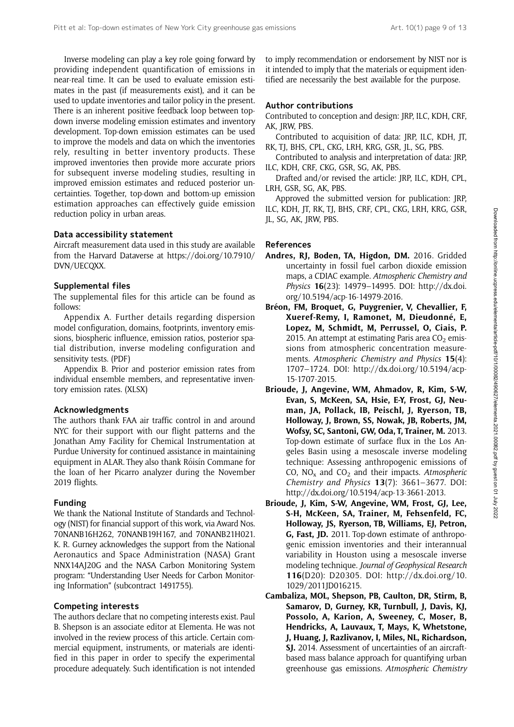Inverse modeling can play a key role going forward by providing independent quantification of emissions in near-real time. It can be used to evaluate emission estimates in the past (if measurements exist), and it can be used to update inventories and tailor policy in the present. There is an inherent positive feedback loop between topdown inverse modeling emission estimates and inventory development. Top-down emission estimates can be used to improve the models and data on which the inventories rely, resulting in better inventory products. These improved inventories then provide more accurate priors for subsequent inverse modeling studies, resulting in improved emission estimates and reduced posterior uncertainties. Together, top-down and bottom-up emission estimation approaches can effectively guide emission reduction policy in urban areas.

# Data accessibility statement

Aircraft measurement data used in this study are available from the Harvard Dataverse at [https://doi.org/10.7910/](https://doi.org/10.7910/DVN/UECQXX) [DVN/UECQXX](https://doi.org/10.7910/DVN/UECQXX).

# Supplemental files

The supplemental files for this article can be found as follows:

Appendix A. Further details regarding dispersion model configuration, domains, footprints, inventory emissions, biospheric influence, emission ratios, posterior spatial distribution, inverse modeling configuration and sensitivity tests. (PDF)

Appendix B. Prior and posterior emission rates from individual ensemble members, and representative inventory emission rates. (XLSX)

#### Acknowledgments

The authors thank FAA air traffic control in and around NYC for their support with our flight patterns and the Jonathan Amy Facility for Chemical Instrumentation at Purdue University for continued assistance in maintaining equipment in ALAR. They also thank Róisín Commane for the loan of her Picarro analyzer during the November 2019 flights.

# Funding

We thank the National Institute of Standards and Technology (NIST) for financial support of this work, via Award Nos. 70NANB16H262, 70NANB19H167, and 70NANB21H021. K. R. Gurney acknowledges the support from the National Aeronautics and Space Administration (NASA) Grant NNX14AJ20G and the NASA Carbon Monitoring System program: "Understanding User Needs for Carbon Monitoring Information" (subcontract 1491755).

#### Competing interests

The authors declare that no competing interests exist. Paul B. Shepson is an associate editor at Elementa. He was not involved in the review process of this article. Certain commercial equipment, instruments, or materials are identified in this paper in order to specify the experimental procedure adequately. Such identification is not intended to imply recommendation or endorsement by NIST nor is it intended to imply that the materials or equipment identified are necessarily the best available for the purpose.

# Author contributions

Contributed to conception and design: JRP, ILC, KDH, CRF, AK, JRW, PBS.

Contributed to acquisition of data: JRP, ILC, KDH, JT, RK, TJ, BHS, CPL, CKG, LRH, KRG, GSR, JL, SG, PBS.

Contributed to analysis and interpretation of data: JRP, ILC, KDH, CRF, CKG, GSR, SG, AK, PBS.

Drafted and/or revised the article: JRP, ILC, KDH, CPL, LRH, GSR, SG, AK, PBS.

Approved the submitted version for publication: JRP, ILC, KDH, JT, RK, TJ, BHS, CRF, CPL, CKG, LRH, KRG, GSR, JL, SG, AK, JRW, PBS.

# References

- Andres, RJ, Boden, TA, Higdon, DM. 2016. Gridded uncertainty in fossil fuel carbon dioxide emission maps, a CDIAC example. Atmospheric Chemistry and Physics 16(23): 14979–14995. DOI: [http://dx.doi.](http://dx.doi.org/10.5194/acp-16-14979-2016) [org/10.5194/acp-16-14979-2016.](http://dx.doi.org/10.5194/acp-16-14979-2016)
- Bréon, FM, Broquet, G, Puygrenier, V, Chevallier, F, Xueref-Remy, I, Ramonet, M, Dieudonné, E, Lopez, M, Schmidt, M, Perrussel, O, Ciais, P. 2015. An attempt at estimating Paris area  $CO<sub>2</sub>$  emissions from atmospheric concentration measurements. Atmospheric Chemistry and Physics 15(4): 1707–1724. DOI: [http://dx.doi.org/10.5194/acp-](http://dx.doi.org/10.5194/acp-15-1707-2015)[15-1707-2015.](http://dx.doi.org/10.5194/acp-15-1707-2015)
- Brioude, J, Angevine, WM, Ahmadov, R, Kim, S-W, Evan, S, McKeen, SA, Hsie, E-Y, Frost, GJ, Neuman, JA, Pollack, IB, Peischl, J, Ryerson, TB, Holloway, J, Brown, SS, Nowak, JB, Roberts, JM, Wofsy, SC, Santoni, GW, Oda, T, Trainer, M. 2013. Top-down estimate of surface flux in the Los Angeles Basin using a mesoscale inverse modeling technique: Assessing anthropogenic emissions of CO,  $NO<sub>x</sub>$  and  $CO<sub>2</sub>$  and their impacts. Atmospheric Chemistry and Physics 13(7): 3661–3677. DOI: <http://dx.doi.org/10.5194/acp-13-3661-2013>.
- Brioude, J, Kim, S-W, Angevine, WM, Frost, GJ, Lee, S-H, McKeen, SA, Trainer, M, Fehsenfeld, FC, Holloway, JS, Ryerson, TB, Williams, EJ, Petron, G, Fast, JD. 2011. Top-down estimate of anthropogenic emission inventories and their interannual variability in Houston using a mesoscale inverse modeling technique. Journal of Geophysical Research 116(D20): D20305. DOI: [http://dx.doi.org/10.](http://dx.doi.org/10.1029/2011JD016215) [1029/2011JD016215.](http://dx.doi.org/10.1029/2011JD016215)
- Cambaliza, MOL, Shepson, PB, Caulton, DR, Stirm, B, Samarov, D, Gurney, KR, Turnbull, J, Davis, KJ, Possolo, A, Karion, A, Sweeney, C, Moser, B, Hendricks, A, Lauvaux, T, Mays, K, Whetstone, J, Huang, J, Razlivanov, I, Miles, NL, Richardson, SJ. 2014. Assessment of uncertainties of an aircraftbased mass balance approach for quantifying urban greenhouse gas emissions. Atmospheric Chemistry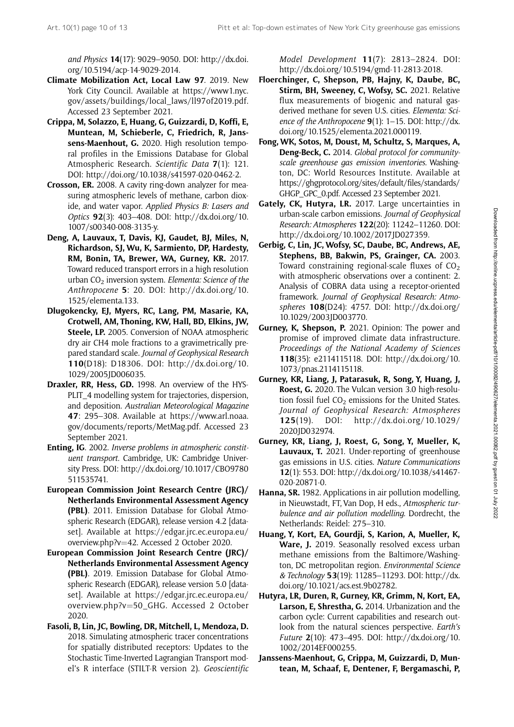and Physics 14(17): 9029–9050. DOI: [http://dx.doi.](http://dx.doi.org/10.5194/acp-14-9029-2014) [org/10.5194/acp-14-9029-2014.](http://dx.doi.org/10.5194/acp-14-9029-2014)

- Climate Mobilization Act, Local Law 97. 2019. New York City Council. Available at [https://www1.nyc.](https://www1.nyc.gov/assets/buildings/local_laws/ll97of2019.pdf) [gov/assets/buildings/local\\_laws/ll97of2019.pdf.](https://www1.nyc.gov/assets/buildings/local_laws/ll97of2019.pdf) Accessed 23 September 2021.
- Crippa, M, Solazzo, E, Huang, G, Guizzardi, D, Koffi, E, Muntean, M, Schieberle, C, Friedrich, R, Janssens-Maenhout, G. 2020. High resolution temporal profiles in the Emissions Database for Global Atmospheric Research. Scientific Data 7(1): 121. DOI:<http://doi.org/10.1038/s41597-020-0462-2>.
- Crosson, ER. 2008. A cavity ring-down analyzer for measuring atmospheric levels of methane, carbon dioxide, and water vapor. Applied Physics B: Lasers and Optics 92(3): 403–408. DOI: [http://dx.doi.org/10.](http://dx.doi.org/10.1007/s00340-008-3135-y) [1007/s00340-008-3135-y.](http://dx.doi.org/10.1007/s00340-008-3135-y)
- Deng, A, Lauvaux, T, Davis, KJ, Gaudet, BJ, Miles, N, Richardson, SJ, Wu, K, Sarmiento, DP, Hardesty, RM, Bonin, TA, Brewer, WA, Gurney, KR. 2017. Toward reduced transport errors in a high resolution urban  $CO<sub>2</sub>$  inversion system. Elementa: Science of the Anthropocene 5: 20. DOI: [http://dx.doi.org/10.](http://dx.doi.org/10.1525/elementa.133) [1525/elementa.133](http://dx.doi.org/10.1525/elementa.133).
- Dlugokencky, EJ, Myers, RC, Lang, PM, Masarie, KA, Crotwell, AM, Thoning, KW, Hall, BD, Elkins, JW, Steele, LP. 2005. Conversion of NOAA atmospheric dry air CH4 mole fractions to a gravimetrically prepared standard scale. Journal of Geophysical Research 110(D18): D18306. DOI: [http://dx.doi.org/10.](http://dx.doi.org/10.1029/2005JD006035) [1029/2005JD006035.](http://dx.doi.org/10.1029/2005JD006035)
- Draxler, RR, Hess, GD. 1998. An overview of the HYS-PLIT 4 modelling system for trajectories, dispersion, and deposition. Australian Meteorological Magazine 47: 295–308. Available at [https://www.arl.noaa.](https://www.arl.noaa.gov/documents/reports/MetMag.pdf) [gov/documents/reports/MetMag.pdf](https://www.arl.noaa.gov/documents/reports/MetMag.pdf). Accessed 23 September 2021.
- Enting, IG. 2002. Inverse problems in atmospheric constituent transport. Cambridge, UK: Cambridge University Press. DOI: [http://dx.doi.org/10.1017/CBO9780](http://dx.doi.org/10.1017/CBO9780511535741) [511535741.](http://dx.doi.org/10.1017/CBO9780511535741)
- European Commission Joint Research Centre (JRC)/ Netherlands Environmental Assessment Agency (PBL). 2011. Emission Database for Global Atmospheric Research (EDGAR), release version 4.2 [dataset]. Available at [https://edgar.jrc.ec.europa.eu/](https://edgar.jrc.ec.europa.eu/overview.php?v=42) [overview.php?v](https://edgar.jrc.ec.europa.eu/overview.php?v=42)=[42](https://edgar.jrc.ec.europa.eu/overview.php?v=42). Accessed 2 October 2020.
- European Commission Joint Research Centre (JRC)/ Netherlands Environmental Assessment Agency (PBL). 2019. Emission Database for Global Atmospheric Research (EDGAR), release version 5.0 [dataset]. Available at [https://edgar.jrc.ec.europa.eu/](https://edgar.jrc.ec.europa.eu/overview.php?v=50_GHG) [overview.php?v](https://edgar.jrc.ec.europa.eu/overview.php?v=50_GHG)=[50\\_GHG.](https://edgar.jrc.ec.europa.eu/overview.php?v=50_GHG) Accessed 2 October 2020.
- Fasoli, B, Lin, JC, Bowling, DR, Mitchell, L, Mendoza, D. 2018. Simulating atmospheric tracer concentrations for spatially distributed receptors: Updates to the Stochastic Time-Inverted Lagrangian Transport model's R interface (STILT-R version 2). Geoscientific

Model Development 11(7): 2813–2824. DOI: [http://dx.doi.org/10.5194/gmd-11-2813-2018.](http://dx.doi.org/10.5194/gmd-11-2813-2018)

- Floerchinger, C, Shepson, PB, Hajny, K, Daube, BC, Stirm, BH, Sweeney, C, Wofsy, SC. 2021. Relative flux measurements of biogenic and natural gasderived methane for seven U.S. cities. Elementa: Science of the Anthropocene  $9(1)$ : 1–15. DOI: [http://dx.](http://dx.doi.org/10.1525/elementa.2021.000119) [doi.org/10.1525/elementa.2021.000119](http://dx.doi.org/10.1525/elementa.2021.000119).
- Fong, WK, Sotos, M, Doust, M, Schultz, S, Marques, A, Deng-Beck, C. 2014. Global protocol for communityscale greenhouse gas emission inventories. Washington, DC: World Resources Institute. Available at [https://ghgprotocol.org/sites/default/files/standards/](https://ghgprotocol.org/sites/default/files/standards/GHGP_GPC_0.pdf) [GHGP\\_GPC\\_0.pdf.](https://ghgprotocol.org/sites/default/files/standards/GHGP_GPC_0.pdf) Accessed 23 September 2021.
- Gately, CK, Hutyra, LR. 2017. Large uncertainties in urban-scale carbon emissions. Journal of Geophysical Research: Atmospheres 122(20): 11242–11260. DOI: [http://dx.doi.org/10.1002/2017JD027359.](http://dx.doi.org/10.1002/2017JD027359)
- Gerbig, C, Lin, JC, Wofsy, SC, Daube, BC, Andrews, AE, Stephens, BB, Bakwin, PS, Grainger, CA. 2003. Toward constraining regional-scale fluxes of  $CO<sub>2</sub>$ with atmospheric observations over a continent: 2. Analysis of COBRA data using a receptor-oriented framework. Journal of Geophysical Research: Atmospheres 108(D24): 4757. DOI: [http://dx.doi.org/](http://dx.doi.org/10.1029/2003JD003770) [10.1029/2003JD003770](http://dx.doi.org/10.1029/2003JD003770).
- Gurney, K, Shepson, P. 2021. Opinion: The power and promise of improved climate data infrastructure. Proceedings of the National Academy of Sciences 118(35): e2114115118. DOI: [http://dx.doi.org/10.](http://dx.doi.org/10.1073/pnas.2114115118) [1073/pnas.2114115118](http://dx.doi.org/10.1073/pnas.2114115118).
- Gurney, KR, Liang, J, Patarasuk, R, Song, Y, Huang, J, Roest, G. 2020. The Vulcan version 3.0 high-resolution fossil fuel  $CO<sub>2</sub>$  emissions for the United States. Journal of Geophysical Research: Atmospheres 125(19). DOI: [http://dx.doi.org/10.1029/](http://dx.doi.org/10.1029/2020JD032974) [2020JD032974](http://dx.doi.org/10.1029/2020JD032974).
- Gurney, KR, Liang, J, Roest, G, Song, Y, Mueller, K, Lauvaux, T. 2021. Under-reporting of greenhouse gas emissions in U.S. cities. Nature Communications 12(1): 553. DOI: [http://dx.doi.org/10.1038/s41467-](http://dx.doi.org/10.1038/s41467-020-20871-0) [020-20871-0](http://dx.doi.org/10.1038/s41467-020-20871-0).
- Hanna, SR. 1982. Applications in air pollution modelling, in Nieuwstadt, FT, Van Dop, H eds., Atmospheric turbulence and air pollution modelling. Dordrecht, the Netherlands: Reidel: 275–310.
- Huang, Y, Kort, EA, Gourdji, S, Karion, A, Mueller, K, Ware, J. 2019. Seasonally resolved excess urban methane emissions from the Baltimore/Washington, DC metropolitan region. Environmental Science & Technology 53(19): 11285–11293. DOI: [http://dx.](http://dx.doi.org/10.1021/acs.est.9b02782) [doi.org/10.1021/acs.est.9b02782.](http://dx.doi.org/10.1021/acs.est.9b02782)
- Hutyra, LR, Duren, R, Gurney, KR, Grimm, N, Kort, EA, Larson, E, Shrestha, G. 2014. Urbanization and the carbon cycle: Current capabilities and research outlook from the natural sciences perspective. Earth's Future 2(10): 473–495. DOI: [http://dx.doi.org/10.](http://dx.doi.org/10.1002/2014EF000255) [1002/2014EF000255](http://dx.doi.org/10.1002/2014EF000255).
- Janssens-Maenhout, G, Crippa, M, Guizzardi, D, Muntean, M, Schaaf, E, Dentener, F, Bergamaschi, P,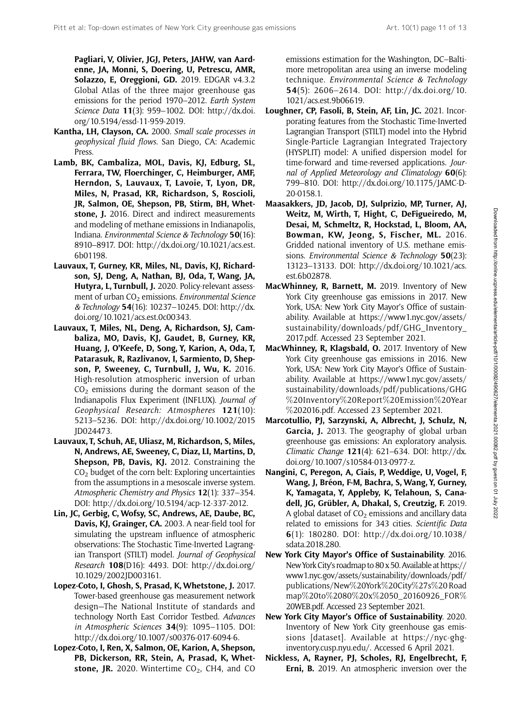Pagliari, V, Olivier, JGJ, Peters, JAHW, van Aardenne, JA, Monni, S, Doering, U, Petrescu, AMR, Solazzo, E, Oreggioni, GD. 2019. EDGAR v4.3.2 Global Atlas of the three major greenhouse gas emissions for the period 1970–2012. Earth System Science Data 11(3): 959–1002. DOI: [http://dx.doi.](http://dx.doi.org/10.5194/essd-11-959-2019) [org/10.5194/essd-11-959-2019](http://dx.doi.org/10.5194/essd-11-959-2019).

- Kantha, LH, Clayson, CA. 2000. Small scale processes in geophysical fluid flows. San Diego, CA: Academic Press.
- Lamb, BK, Cambaliza, MOL, Davis, KJ, Edburg, SL, Ferrara, TW, Floerchinger, C, Heimburger, AMF, Herndon, S, Lauvaux, T, Lavoie, T, Lyon, DR, Miles, N, Prasad, KR, Richardson, S, Roscioli, JR, Salmon, OE, Shepson, PB, Stirm, BH, Whetstone, J. 2016. Direct and indirect measurements and modeling of methane emissions in Indianapolis, Indiana. Environmental Science & Technology 50(16): 8910–8917. DOI: [http://dx.doi.org/10.1021/acs.est.](http://dx.doi.org/10.1021/acs.est.6b01198) [6b01198.](http://dx.doi.org/10.1021/acs.est.6b01198)
- Lauvaux, T, Gurney, KR, Miles, NL, Davis, KJ, Richardson, SJ, Deng, A, Nathan, BJ, Oda, T, Wang, JA, Hutyra, L, Turnbull, J. 2020. Policy-relevant assessment of urban  $CO<sub>2</sub>$  emissions. Environmental Science & Technology 54(16): 10237–10245. DOI: [http://dx.](http://dx.doi.org/10.1021/acs.est.0c00343) [doi.org/10.1021/acs.est.0c00343](http://dx.doi.org/10.1021/acs.est.0c00343).
- Lauvaux, T, Miles, NL, Deng, A, Richardson, SJ, Cambaliza, MO, Davis, KJ, Gaudet, B, Gurney, KR, Huang, J, O'Keefe, D, Song, Y, Karion, A, Oda, T, Patarasuk, R, Razlivanov, I, Sarmiento, D, Shepson, P, Sweeney, C, Turnbull, J, Wu, K. 2016. High-resolution atmospheric inversion of urban  $CO<sub>2</sub>$  emissions during the dormant season of the Indianapolis Flux Experiment (INFLUX). Journal of Geophysical Research: Atmospheres 121(10): 5213–5236. DOI: [http://dx.doi.org/10.1002/2015](http://dx.doi.org/10.1002/2015JD024473) [JD024473.](http://dx.doi.org/10.1002/2015JD024473)
- Lauvaux, T, Schuh, AE, Uliasz, M, Richardson, S, Miles, N, Andrews, AE, Sweeney, C, Diaz, LI, Martins, D, Shepson, PB, Davis, KJ. 2012. Constraining the  $CO<sub>2</sub>$  budget of the corn belt: Exploring uncertainties from the assumptions in a mesoscale inverse system. Atmospheric Chemistry and Physics 12(1): 337–354. DOI:<http://dx.doi.org/10.5194/acp-12-337-2012>.
- Lin, JC, Gerbig, C, Wofsy, SC, Andrews, AE, Daube, BC, Davis, KJ, Grainger, CA. 2003. A near-field tool for simulating the upstream influence of atmospheric observations: The Stochastic Time-Inverted Lagrangian Transport (STILT) model. Journal of Geophysical Research 108(D16): 4493. DOI: [http://dx.doi.org/](http://dx.doi.org/10.1029/2002JD003161) [10.1029/2002JD003161.](http://dx.doi.org/10.1029/2002JD003161)
- Lopez-Coto, I, Ghosh, S, Prasad, K, Whetstone, J. 2017. Tower-based greenhouse gas measurement network design—The National Institute of standards and technology North East Corridor Testbed. Advances in Atmospheric Sciences 34(9): 1095–1105. DOI: <http://dx.doi.org/10.1007/s00376-017-6094-6>.
- Lopez-Coto, I, Ren, X, Salmon, OE, Karion, A, Shepson, PB, Dickerson, RR, Stein, A, Prasad, K, Whetstone, JR. 2020. Wintertime  $CO<sub>2</sub>$ , CH4, and CO

emissions estimation for the Washington, DC–Baltimore metropolitan area using an inverse modeling technique. Environmental Science & Technology 54(5): 2606–2614. DOI: [http://dx.doi.org/10.](http://dx.doi.org/10.1021/acs.est.9b06619) [1021/acs.est.9b06619](http://dx.doi.org/10.1021/acs.est.9b06619).

- Loughner, CP, Fasoli, B, Stein, AF, Lin, JC. 2021. Incorporating features from the Stochastic Time-Inverted Lagrangian Transport (STILT) model into the Hybrid Single-Particle Lagrangian Integrated Trajectory (HYSPLIT) model: A unified dispersion model for time-forward and time-reversed applications. Journal of Applied Meteorology and Climatology  $60(6)$ : 799–810. DOI: [http://dx.doi.org/10.1175/JAMC-D-](http://dx.doi.org/10.1175/JAMC-D-20-0158.1)[20-0158.1.](http://dx.doi.org/10.1175/JAMC-D-20-0158.1)
- Maasakkers, JD, Jacob, DJ, Sulprizio, MP, Turner, AJ, Weitz, M, Wirth, T, Hight, C, DeFigueiredo, M, Desai, M, Schmeltz, R, Hockstad, L, Bloom, AA, Bowman, KW, Jeong, S, Fischer, ML. 2016. Gridded national inventory of U.S. methane emissions. Environmental Science & Technology 50(23): 13123–13133. DOI: [http://dx.doi.org/10.1021/acs.](http://dx.doi.org/10.1021/acs.est.6b02878) [est.6b02878.](http://dx.doi.org/10.1021/acs.est.6b02878)
- MacWhinney, R, Barnett, M. 2019. Inventory of New York City greenhouse gas emissions in 2017. New York, USA: New York City Mayor's Office of sustainability. Available at [https://www1.nyc.gov/assets/](https://www1.nyc.gov/assets/sustainability/downloads/pdf/GHG_Inventory_2017.pdf) [sustainability/downloads/pdf/GHG\\_Inventory\\_](https://www1.nyc.gov/assets/sustainability/downloads/pdf/GHG_Inventory_2017.pdf) [2017.pdf](https://www1.nyc.gov/assets/sustainability/downloads/pdf/GHG_Inventory_2017.pdf). Accessed 23 September 2021.
- MacWhinney, R, Klagsbald, O. 2017. Inventory of New York City greenhouse gas emissions in 2016. New York, USA: New York City Mayor's Office of Sustainability. Available at [https://www1.nyc.gov/assets/](https://www1.nyc.gov/assets/sustainability/downloads/pdf/publications/GHG%20Inventory%20Report%20Emission%20Year%202016.pdf) [sustainability/downloads/pdf/publications/GHG](https://www1.nyc.gov/assets/sustainability/downloads/pdf/publications/GHG%20Inventory%20Report%20Emission%20Year%202016.pdf) %[20Inventory](https://www1.nyc.gov/assets/sustainability/downloads/pdf/publications/GHG%20Inventory%20Report%20Emission%20Year%202016.pdf)%[20Report](https://www1.nyc.gov/assets/sustainability/downloads/pdf/publications/GHG%20Inventory%20Report%20Emission%20Year%202016.pdf)%[20Emission](https://www1.nyc.gov/assets/sustainability/downloads/pdf/publications/GHG%20Inventory%20Report%20Emission%20Year%202016.pdf)%[20Year](https://www1.nyc.gov/assets/sustainability/downloads/pdf/publications/GHG%20Inventory%20Report%20Emission%20Year%202016.pdf) %[202016.pdf](https://www1.nyc.gov/assets/sustainability/downloads/pdf/publications/GHG%20Inventory%20Report%20Emission%20Year%202016.pdf). Accessed 23 September 2021.
- Marcotullio, PJ, Sarzynski, A, Albrecht, J, Schulz, N, Garcia, J. 2013. The geography of global urban greenhouse gas emissions: An exploratory analysis. Climatic Change 121(4): 621–634. DOI: [http://dx.](http://dx.doi.org/10.1007/s10584-013-0977-z) [doi.org/10.1007/s10584-013-0977-z](http://dx.doi.org/10.1007/s10584-013-0977-z).
- Nangini, C, Peregon, A, Ciais, P, Weddige, U, Vogel, F, Wang, J, Bréon, F-M, Bachra, S, Wang, Y, Gurney, K, Yamagata, Y, Appleby, K, Telahoun, S, Canadell, JG, Grübler, A, Dhakal, S, Creutzig, F. 2019. A global dataset of  $CO<sub>2</sub>$  emissions and ancillary data related to emissions for 343 cities. Scientific Data 6(1): 180280. DOI: [http://dx.doi.org/10.1038/](http://dx.doi.org/10.1038/sdata.2018.280) [sdata.2018.280.](http://dx.doi.org/10.1038/sdata.2018.280)
- New York City Mayor's Office of Sustainability. 2016. New York City's roadmap to 80 x 50. Available at [https://](https://www1.nyc.gov/assets/sustainability/downloads/pdf/publications/New%20York%20City%27s%20Roadmap%20to%2080%20x%2050_20160926_FOR%20WEB.pdf) [www1.nyc.gov/assets/sustainability/downloads/pdf/](https://www1.nyc.gov/assets/sustainability/downloads/pdf/publications/New%20York%20City%27s%20Roadmap%20to%2080%20x%2050_20160926_FOR%20WEB.pdf) [publications/New](https://www1.nyc.gov/assets/sustainability/downloads/pdf/publications/New%20York%20City%27s%20Roadmap%20to%2080%20x%2050_20160926_FOR%20WEB.pdf)%[20York](https://www1.nyc.gov/assets/sustainability/downloads/pdf/publications/New%20York%20City%27s%20Roadmap%20to%2080%20x%2050_20160926_FOR%20WEB.pdf)%[20City](https://www1.nyc.gov/assets/sustainability/downloads/pdf/publications/New%20York%20City%27s%20Roadmap%20to%2080%20x%2050_20160926_FOR%20WEB.pdf)%[27s](https://www1.nyc.gov/assets/sustainability/downloads/pdf/publications/New%20York%20City%27s%20Roadmap%20to%2080%20x%2050_20160926_FOR%20WEB.pdf)%[20 Road](https://www1.nyc.gov/assets/sustainability/downloads/pdf/publications/New%20York%20City%27s%20Roadmap%20to%2080%20x%2050_20160926_FOR%20WEB.pdf) [map](https://www1.nyc.gov/assets/sustainability/downloads/pdf/publications/New%20York%20City%27s%20Roadmap%20to%2080%20x%2050_20160926_FOR%20WEB.pdf)%[20to](https://www1.nyc.gov/assets/sustainability/downloads/pdf/publications/New%20York%20City%27s%20Roadmap%20to%2080%20x%2050_20160926_FOR%20WEB.pdf)%[2080](https://www1.nyc.gov/assets/sustainability/downloads/pdf/publications/New%20York%20City%27s%20Roadmap%20to%2080%20x%2050_20160926_FOR%20WEB.pdf)%[20x](https://www1.nyc.gov/assets/sustainability/downloads/pdf/publications/New%20York%20City%27s%20Roadmap%20to%2080%20x%2050_20160926_FOR%20WEB.pdf)%[2050\\_20160926\\_FOR](https://www1.nyc.gov/assets/sustainability/downloads/pdf/publications/New%20York%20City%27s%20Roadmap%20to%2080%20x%2050_20160926_FOR%20WEB.pdf)% [20WEB.pdf.](https://www1.nyc.gov/assets/sustainability/downloads/pdf/publications/New%20York%20City%27s%20Roadmap%20to%2080%20x%2050_20160926_FOR%20WEB.pdf) Accessed 23 September 2021.
- New York City Mayor's Office of Sustainability. 2020. Inventory of New York City greenhouse gas emissions [dataset]. Available at [https://nyc-ghg](https://nyc-ghg-inventory.cusp.nyu.edu/)[inventory.cusp.nyu.edu/](https://nyc-ghg-inventory.cusp.nyu.edu/). Accessed 6 April 2021.
- Nickless, A, Rayner, PJ, Scholes, RJ, Engelbrecht, F, Erni, B. 2019. An atmospheric inversion over the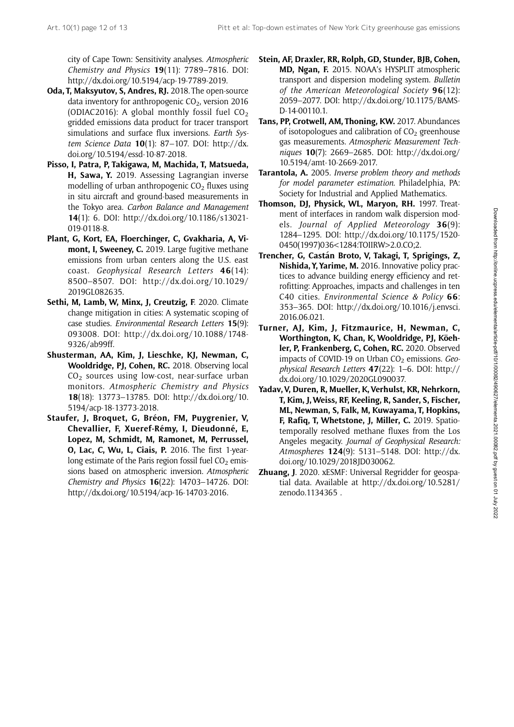city of Cape Town: Sensitivity analyses. Atmospheric Chemistry and Physics 19(11): 7789–7816. DOI: [http://dx.doi.org/10.5194/acp-19-7789-2019.](http://dx.doi.org/10.5194/acp-19-7789-2019)

- Oda, T, Maksyutov, S, Andres, RJ. 2018. The open-source data inventory for anthropogenic  $CO<sub>2</sub>$ , version 2016 (ODIAC2016): A global monthly fossil fuel  $CO<sub>2</sub>$ gridded emissions data product for tracer transport simulations and surface flux inversions. Earth System Science Data  $10(1)$ : 87-107. DOI: [http://dx.](http://dx.doi.org/10.5194/essd-10-87-2018) [doi.org/10.5194/essd-10-87-2018](http://dx.doi.org/10.5194/essd-10-87-2018).
- Pisso, I, Patra, P, Takigawa, M, Machida, T, Matsueda, H, Sawa, Y. 2019. Assessing Lagrangian inverse modelling of urban anthropogenic  $CO<sub>2</sub>$  fluxes using in situ aircraft and ground-based measurements in the Tokyo area. Carbon Balance and Management 14(1): 6. DOI: [http://dx.doi.org/10.1186/s13021-](http://dx.doi.org/10.1186/s13021-019-0118-8) [019-0118-8](http://dx.doi.org/10.1186/s13021-019-0118-8).
- Plant, G, Kort, EA, Floerchinger, C, Gvakharia, A, Vimont, I, Sweeney, C. 2019. Large fugitive methane emissions from urban centers along the U.S. east coast. Geophysical Research Letters 46(14): 8500–8507. DOI: [http://dx.doi.org/10.1029/](http://dx.doi.org/10.1029/2019GL082635) [2019GL082635.](http://dx.doi.org/10.1029/2019GL082635)
- Sethi, M, Lamb, W, Minx, J, Creutzig, F. 2020. Climate change mitigation in cities: A systematic scoping of case studies. Environmental Research Letters 15(9): 093008. DOI: [http://dx.doi.org/10.1088/1748-](http://dx.doi.org/10.1088/1748-9326/ab99ff) [9326/ab99ff.](http://dx.doi.org/10.1088/1748-9326/ab99ff)
- Shusterman, AA, Kim, J, Lieschke, KJ, Newman, C, Wooldridge, PJ, Cohen, RC. 2018. Observing local  $CO<sub>2</sub>$  sources using low-cost, near-surface urban monitors. Atmospheric Chemistry and Physics 18(18): 13773–13785. DOI: [http://dx.doi.org/10.](http://dx.doi.org/10.5194/acp-18-13773-2018) [5194/acp-18-13773-2018.](http://dx.doi.org/10.5194/acp-18-13773-2018)
- Staufer, J, Broquet, G, Bréon, FM, Puygrenier, V, Chevallier, F, Xueref-Rémy, I, Dieudonné, E, Lopez, M, Schmidt, M, Ramonet, M, Perrussel, O, Lac, C, Wu, L, Ciais, P. 2016. The first 1-yearlong estimate of the Paris region fossil fuel  $CO<sub>2</sub>$  emissions based on atmospheric inversion. Atmospheric Chemistry and Physics 16(22): 14703–14726. DOI: [http://dx.doi.org/10.5194/acp-16-14703-2016.](http://dx.doi.org/10.5194/acp-16-14703-2016)
- Stein, AF, Draxler, RR, Rolph, GD, Stunder, BJB, Cohen, MD, Ngan, F. 2015. NOAA's HYSPLIT atmospheric transport and dispersion modeling system. Bulletin of the American Meteorological Society 96(12): 2059–2077. DOI: [http://dx.doi.org/10.1175/BAMS-](http://dx.doi.org/10.1175/BAMS-D-14-00110.1)[D-14-00110.1.](http://dx.doi.org/10.1175/BAMS-D-14-00110.1)
- Tans, PP, Crotwell, AM, Thoning, KW. 2017. Abundances of isotopologues and calibration of  $CO<sub>2</sub>$  greenhouse gas measurements. Atmospheric Measurement Techniques 10(7): 2669–2685. DOI: [http://dx.doi.org/](http://dx.doi.org/10.5194/amt-10-2669-2017) [10.5194/amt-10-2669-2017.](http://dx.doi.org/10.5194/amt-10-2669-2017)
- Tarantola, A. 2005. Inverse problem theory and methods for model parameter estimation. Philadelphia, PA: Society for Industrial and Applied Mathematics.
- Thomson, DJ, Physick, WL, Marvon, RH, 1997. Treatment of interfaces in random walk dispersion models. Journal of Applied Meteorology 36(9): 1284–1295. DOI: [http://dx.doi.org/10.1175/1520-](http://dx.doi.org/10.1175/1520-0450(1997)036<1284:TOIIRW>2.0.CO;2) [0450\(1997\)036<1284:TOIIRW>2.0.CO;2](http://dx.doi.org/10.1175/1520-0450(1997)036<1284:TOIIRW>2.0.CO;2).
- Trencher, G, Castán Broto, V, Takagi, T, Sprigings, Z, Nishida, Y, Yarime, M. 2016. Innovative policy practices to advance building energy efficiency and retrofitting: Approaches, impacts and challenges in ten C40 cities. Environmental Science & Policy 66: 353–365. DOI: [http://dx.doi.org/10.1016/j.envsci.](http://dx.doi.org/10.1016/j.envsci.2016.06.021) [2016.06.021.](http://dx.doi.org/10.1016/j.envsci.2016.06.021)
- Turner, AJ, Kim, J, Fitzmaurice, H, Newman, C, Worthington, K, Chan, K, Wooldridge, PJ, Köehler, P, Frankenberg, C, Cohen, RC. 2020. Observed impacts of COVID-19 on Urban  $CO<sub>2</sub>$  emissions. Geophysical Research Letters 47(22): 1–6. DOI: [http://](http://dx.doi.org/10.1029/2020GL090037) [dx.doi.org/10.1029/2020GL090037.](http://dx.doi.org/10.1029/2020GL090037)
- Yadav, V, Duren, R, Mueller, K, Verhulst, KR, Nehrkorn, T, Kim, J,Weiss, RF, Keeling, R, Sander, S, Fischer, ML, Newman, S, Falk, M, Kuwayama, T, Hopkins, F, Rafiq, T, Whetstone, J, Miller, C. 2019. Spatiotemporally resolved methane fluxes from the Los Angeles megacity. Journal of Geophysical Research: Atmospheres 124(9): 5131–5148. DOI: [http://dx.](http://dx.doi.org/10.1029/2018JD030062) [doi.org/10.1029/2018JD030062](http://dx.doi.org/10.1029/2018JD030062).
- **Zhuang, J.** 2020. xESMF: Universal Regridder for geospatial data. Available at [http://dx.doi.org/10.5281/](http://dx.doi.org/10.5281/zenodo.1134365) [zenodo.1134365](http://dx.doi.org/10.5281/zenodo.1134365) .